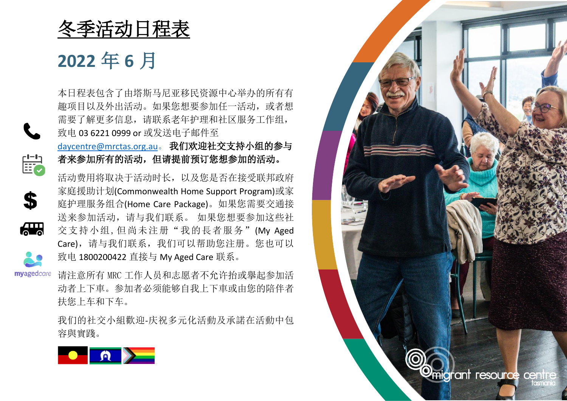冬季活动日程表

**2022** 年 **6** 月

 $\begin{bmatrix} 1-1 \\ \vdots \\ 1-1 \end{bmatrix}$ 

 $\mathbf{S}$ 

 $\overline{\mathbf{a}}$ 

本日程表包含了由塔斯马尼亚移民资源中心举办的所有有 趣项目以及外出活动。如果您想要参加任一活动,或者想 需要了解更多信息,请联系老年护理和社区服务工作组, 致电 03 6221 0999 or 或发送电子邮件至

[daycentre@mrctas.org.au](mailto:daycentre@mrctas.org.au)。 我们欢迎社交支持小组的参与 者来参加所有的活动,但请提前预订您想参加的活动。

活动费用将取决于活动时长,以及您是否在接受联邦政府 家庭援助计划(Commonwealth Home Support Program)或家 庭护理服务组合(Home Care Package)。如果您需要交通接 送来参加活动,请与我们联系。 如果您想要参加这些社 交支持小组,但尚未注册"我的長者服务"(My Aged Care),请与我们联系,我们可以帮助您注册。您也可以 致电 1800200422 直接与 My Aged Care 联系。

myagedcare 请注意所有 MRC 工作人员和志愿者不允许抬或擧起参加活 动者上下車。参加者必须能够自我上下車或由您的陪伴者 扶您上车和下车。

> 我们的社交小組歡迎-庆祝多元化活動及承諾在活動中包 容與實踐。



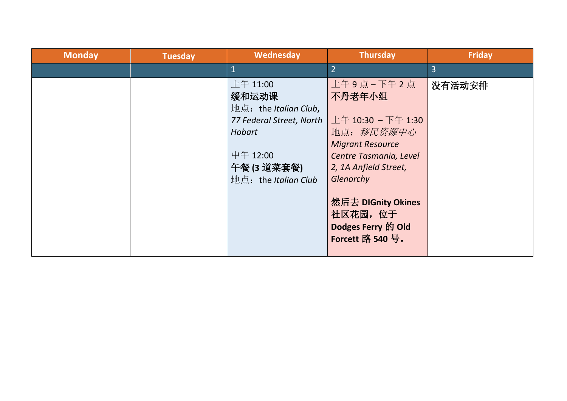| <b>Monday</b> | <b>Tuesday</b> | Wednesday                                                                                                                          | <b>Thursday</b>                                                                                                                                                                                                                | <b>Friday</b>  |
|---------------|----------------|------------------------------------------------------------------------------------------------------------------------------------|--------------------------------------------------------------------------------------------------------------------------------------------------------------------------------------------------------------------------------|----------------|
|               |                |                                                                                                                                    | $\overline{2}$                                                                                                                                                                                                                 | $\overline{3}$ |
|               |                | 上午 11:00<br>缓和运动课<br>地点: the Italian Club,<br>77 Federal Street, North<br>Hobart<br>中午 12:00<br>午餐(3 道菜套餐)<br>地点: the Italian Club | 上午9点-下午2点<br>不丹老年小组<br>上午 10:30 - 下午 1:30<br>地点: 移民资源中心<br><b>Migrant Resource</b><br>Centre Tasmania, Level<br>2, 1A Anfield Street,<br>Glenorchy<br>然后去 DIGnity Okines<br>社区花园, 位于<br>Dodges Ferry 的 Old<br>Forcett 路 540 号。 | 没有活动安排         |
|               |                |                                                                                                                                    |                                                                                                                                                                                                                                |                |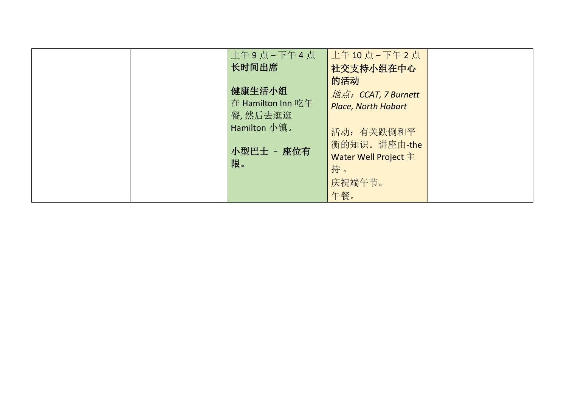| 上午9点-下午4点<br>长时间出席<br>健康生活小组                 | ┃上午 10 点 – 下午 2 点<br>社交支持小组在中心<br>的活动                           |  |
|----------------------------------------------|-----------------------------------------------------------------|--|
| 在 Hamilton Inn 吃午<br>餐,然后去逛逛<br>Hamilton 小镇。 | 地点: CCAT, 7 Burnett<br><b>Place, North Hobart</b><br>活动: 有关跌倒和平 |  |
| 小型巴士 - 座位有<br>限。                             | 衡的知识。讲座由-the<br>Water Well Project 主<br>持。                      |  |
|                                              | 庆祝端午节。<br>午餐。                                                   |  |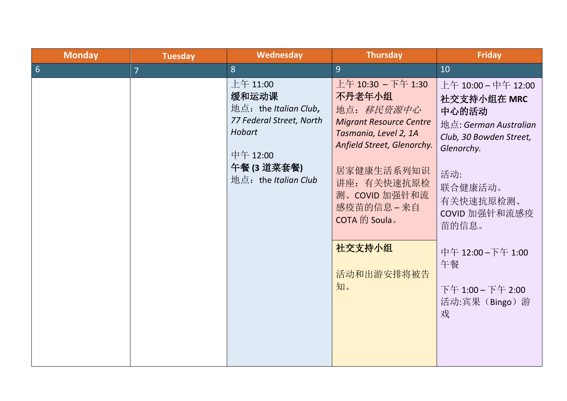| <b>Monday</b>    | <b>Tuesday</b> | Wednesday                                                                                                                         | <b>Thursday</b>                                                                                                                                                                                                                                 | <b>Friday</b>                                                                                                                                                                                                                                 |
|------------------|----------------|-----------------------------------------------------------------------------------------------------------------------------------|-------------------------------------------------------------------------------------------------------------------------------------------------------------------------------------------------------------------------------------------------|-----------------------------------------------------------------------------------------------------------------------------------------------------------------------------------------------------------------------------------------------|
| $6 \overline{6}$ | $\overline{7}$ | 8                                                                                                                                 | 9                                                                                                                                                                                                                                               | 10                                                                                                                                                                                                                                            |
|                  |                | 上午 11:00<br>缓和运动课<br>地点: the Italian Club,<br>77 Federal Street, North<br>Hobart<br>中午 12:00<br>午餐(3道菜套餐)<br>地点: the Italian Club | 上午 10:30 - 下午 1:30<br>不丹老年小组<br>地点: 移民资源中心<br><b>Migrant Resource Centre</b><br>Tasmania, Level 2, 1A<br>Anfield Street, Glenorchy.<br>居家健康生活系列知识<br>讲座: 有关快速抗原检<br>测、COVID 加强针和流<br>感疫苗的信息 - 来自<br>COTA 的 Soula。<br>社交支持小组<br>活动和出游安排将被告<br>知。 | 上午 10:00 - 中午 12:00<br>社交支持小组在 MRC<br>中心的活动<br>地点: German Australian<br>Club, 30 Bowden Street,<br>Glenorchy.<br>活动:<br>联合健康活动。<br>有关快速抗原检测、<br>COVID 加强针和流感疫<br>苗的信息。<br>中午 12:00-下午 1:00<br>午餐<br>下午 1:00 - 下午 2:00<br>活动:宾果 (Bingo) 游<br>戏 |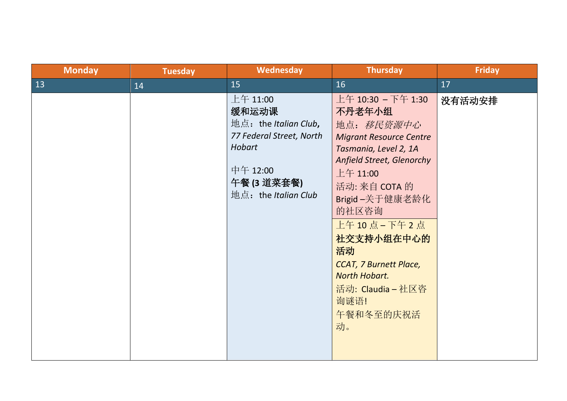| <b>Monday</b> | <b>Tuesday</b> | Wednesday                                                                                                                                    | <b>Thursday</b>                                                                                                                                                                                                                                                                                                                             | <b>Friday</b> |
|---------------|----------------|----------------------------------------------------------------------------------------------------------------------------------------------|---------------------------------------------------------------------------------------------------------------------------------------------------------------------------------------------------------------------------------------------------------------------------------------------------------------------------------------------|---------------|
| 13            | 14             | 15                                                                                                                                           | 16                                                                                                                                                                                                                                                                                                                                          | 17            |
|               |                | $±4$ 11:00<br>缓和运动课<br>地点: the Italian Club,<br>77 Federal Street, North<br><b>Hobart</b><br>中午 12:00<br>午餐 (3 道菜套餐)<br>地点: the Italian Club | 上午 10:30 - 下午 1:30<br>不丹老年小组<br>地点: 移民资源中心<br><b>Migrant Resource Centre</b><br>Tasmania, Level 2, 1A<br>Anfield Street, Glenorchy<br>上午 11:00<br>活动: 来自 COTA 的<br>Brigid-关于健康老龄化<br>的社区咨询<br>上午 10 点 - 下午 2 点<br>社交支持小组在中心的<br>活动<br><b>CCAT, 7 Burnett Place,</b><br><b>North Hobart.</b><br>活动: Claudia - 社区咨<br>询谜语!<br>午餐和冬至的庆祝活<br>动。 | 没有活动安排        |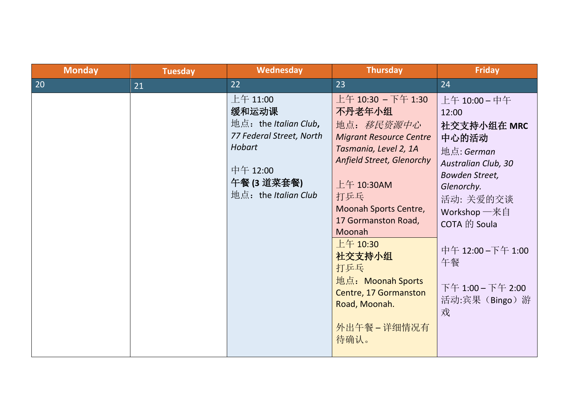| <b>Monday</b> | <b>Tuesday</b> | Wednesday                                                                                                                                       | <b>Thursday</b>                                                                                                                                                                                                                                                                                                                     | <b>Friday</b>                                                                                                                                                                                                                                                            |
|---------------|----------------|-------------------------------------------------------------------------------------------------------------------------------------------------|-------------------------------------------------------------------------------------------------------------------------------------------------------------------------------------------------------------------------------------------------------------------------------------------------------------------------------------|--------------------------------------------------------------------------------------------------------------------------------------------------------------------------------------------------------------------------------------------------------------------------|
| 20            | 21             | 22                                                                                                                                              | 23                                                                                                                                                                                                                                                                                                                                  | 24                                                                                                                                                                                                                                                                       |
|               |                | $\pm 4$ 11:00<br>缓和运动课<br>地点: the Italian Club,<br>77 Federal Street, North<br><b>Hobart</b><br>中午 12:00<br>午餐 (3 道菜套餐)<br>地点: the Italian Club | 上午 10:30 - 下午 1:30<br>不丹老年小组<br>地点: 移民资源中心<br><b>Migrant Resource Centre</b><br>Tasmania, Level 2, 1A<br>Anfield Street, Glenorchy<br>上午 10:30AM<br>打乒乓<br>Moonah Sports Centre,<br>17 Gormanston Road,<br>Moonah<br>上午 10:30<br>社交支持小组<br>打乒乓<br>地点: Moonah Sports<br>Centre, 17 Gormanston<br>Road, Moonah.<br>外出午餐-详细情况有<br>待确认。 | 上午 10:00 - 中午<br>12:00<br>社交支持小组在 MRC<br>中心的活动<br>地点: German<br><b>Australian Club, 30</b><br><b>Bowden Street,</b><br>Glenorchy.<br>活动: 关爱的交谈<br>Workshop $-\bar{\mathcal{R}}$ 自<br>COTA 的 Soula<br>中午 12:00-下午 1:00<br>午餐<br>下午 1:00 - 下午 2:00<br>活动:宾果 (Bingo) 游<br>戏 |